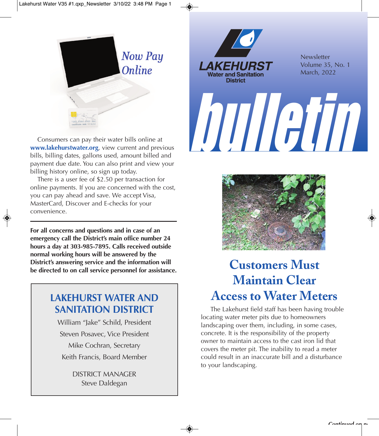



**Newsletter** Volume 35, No. 1 March, 2022

 Consumers can pay their water bills online at **www.lakehurstwater.org**, view current and previous bills, billing dates, gallons used, amount billed and payment due date. You can also print and view your billing history online, so sign up today.

 There is a user fee of \$2.50 per transaction for online payments. If you are concerned with the cost, you can pay ahead and save. We accept Visa, MasterCard, Discover and E-checks for your convenience.

**For all concerns and questions and in case of an emergency call the District's main office number 24 hours a day at 303-985-7895. Calls received outside normal working hours will be answered by the District's answering service and the information will be directed to on call service personnel for assistance.**

## **LAKEHURST WATER AND SANITATION DISTRICT**

William "Jake" Schild, President Steven Posavec, Vice President Mike Cochran, Secretary Keith Francis, Board Member

> DISTRICT MANAGER Steve Daldegan



bulletin

# **Customers Must Maintain Clear Access to Water Meters**

 The Lakehurst field staff has been having trouble locating water meter pits due to homeowners landscaping over them, including, in some cases, concrete. It is the responsibility of the property owner to maintain access to the cast iron lid that covers the meter pit. The inability to read a meter could result in an inaccurate bill and a disturbance to your landscaping.